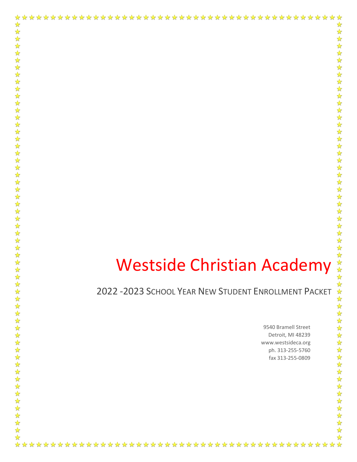# Westside Christian Academy

2022 -2023 SCHOOL YEAR NEW STUDENT ENROLLMENT PACKET

☆

☆

 $\frac{1}{2}$ 

 $\frac{1}{\sqrt{2}}$ 

琴琴》

路琴  $\mathbf{r}$ 

25 23 23

25 22 22

\*\*\*\*\*\*\*

 $\frac{1}{\sqrt{2}}$ 55年

琴琴琴

琴琴琴

 $\frac{1}{\sqrt{2}}$  $\frac{1}{2}$  $\frac{1}{\sqrt{2}}$ 55 55 1

55年

 $\frac{1}{2}$ 

22242

 $\frac{1}{2}$ 

琴琴琴

 $\frac{1}{\sqrt{2}}$ 

 $\frac{1}{\sqrt{2}}$  $\frac{1}{\sqrt{2}}$ 24  $\frac{1}{\sqrt{2}}$ 25年

55年1  $\frac{1}{\sqrt{2}}$  $\frac{1}{\sqrt{2}}$ 

9540 Bramell Street Detroit, MI 48239 www.westsideca.org ph. 313-255-5760 fax 313-255-0809

☆

☆

 $\frac{1}{\sqrt{2}}$ 

 $\frac{1}{\sqrt{2}}$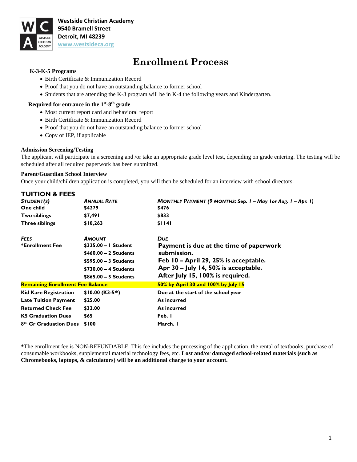

**Westside Christian Academy 9540 Bramell Street Detroit, MI 48239 [www.westsideca.org](http://www.westsideca.org/)**

## **Enrollment Process**

#### **K-3-K-5 Programs**

- Birth Certificate & Immunization Record
- Proof that you do not have an outstanding balance to former school
- Students that are attending the K-3 program will be in K-4 the following years and Kindergarten.

#### **Required for entrance in the 1st-8<sup>th</sup> grade**

- Most current report card and behavioral report
- Birth Certificate & Immunization Record
- Proof that you do not have an outstanding balance to former school
- Copy of IEP, if applicable

#### **Admission Screening/Testing**

The applicant will participate in a screening and /or take an appropriate grade level test, depending on grade entering. The testing will be scheduled after all required paperwork has been submitted.

#### **Parent/Guardian School Interview**

Once your child/children application is completed, you will then be scheduled for an interview with school directors.

| <b>TUITION &amp; FEES</b>               |                        |                                                               |
|-----------------------------------------|------------------------|---------------------------------------------------------------|
| STUDENT(S)                              | <b>ANNUAL RATE</b>     | MONTHLY PAYMENT (9 MONTHS: Sep. 1 – May 1 or Aug. 1 – Apr. 1) |
| One child                               | \$4279                 | \$476                                                         |
| Two siblings                            | \$7,491                | \$833                                                         |
| <b>Three siblings</b>                   | \$10,263               | \$1141                                                        |
| <b>FEES</b>                             | <b>AMOUNT</b>          | <b>DUE</b>                                                    |
| *Enrollment Fee                         | \$325.00 - I Student   | Payment is due at the time of paperwork                       |
|                                         | $$460.00 - 2$ Students | submission.                                                   |
|                                         | \$595.00 - 3 Students  | Feb 10 – April 29, 25% is acceptable.                         |
|                                         | $$730.00 - 4$ Students | Apr 30 – July 14, 50% is acceptable.                          |
|                                         | $$865.00 - 5$ Students | After July 15, 100% is required.                              |
| <b>Remaining Enrollment Fee Balance</b> |                        | 50% by April 30 and 100% by July 15                           |
| <b>Kid Kare Registration</b>            | $$10.00$ (K3-5th)      | Due at the start of the school year                           |
| <b>Late Tuition Payment</b>             | \$25.00                | As incurred                                                   |
| <b>Returned Check Fee</b>               | \$32.00                | As incurred                                                   |
| <b>K5 Graduation Dues</b>               | \$65                   | Feb. I                                                        |
| 8th Gr Graduation Dues                  | \$100                  | March. I                                                      |

**\***The enrollment fee is NON-REFUNDABLE. This fee includes the processing of the application, the rental of textbooks, purchase of consumable workbooks, supplemental material technology fees, etc. **Lost and/or damaged school-related materials (such as Chromebooks, laptops, & calculators) will be an additional charge to your account.**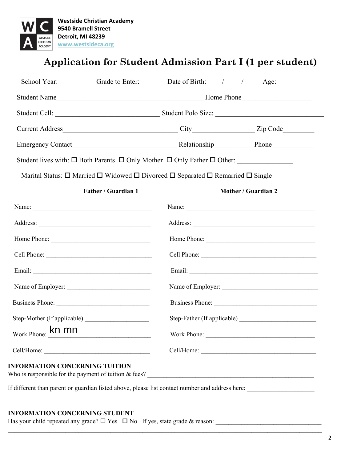

# **Application for Student Admission Part I (1 per student)**

|                          |                            | School Year: Grade to Enter: Date of Birth: ///// Age:                                  |                     |
|--------------------------|----------------------------|-----------------------------------------------------------------------------------------|---------------------|
|                          |                            |                                                                                         |                     |
|                          |                            |                                                                                         |                     |
|                          |                            |                                                                                         |                     |
|                          |                            |                                                                                         |                     |
|                          |                            | Student lives with: □ Both Parents □ Only Mother □ Only Father □ Other: _______________ |                     |
|                          |                            | Marital Status: □ Married □ Widowed □ Divorced □ Separated □ Remarried □ Single         |                     |
|                          | <b>Father / Guardian 1</b> |                                                                                         | Mother / Guardian 2 |
|                          |                            |                                                                                         |                     |
|                          |                            |                                                                                         |                     |
|                          |                            |                                                                                         |                     |
|                          |                            |                                                                                         | Cell Phone:         |
|                          |                            |                                                                                         |                     |
|                          |                            |                                                                                         |                     |
| Business Phone:          |                            |                                                                                         | Business Phone:     |
|                          |                            |                                                                                         |                     |
| Work Phone: <b>kn mn</b> |                            | Work Phone:                                                                             |                     |
|                          |                            |                                                                                         |                     |

 $\mathcal{L}_\mathcal{L} = \mathcal{L}_\mathcal{L} = \mathcal{L}_\mathcal{L} = \mathcal{L}_\mathcal{L} = \mathcal{L}_\mathcal{L} = \mathcal{L}_\mathcal{L} = \mathcal{L}_\mathcal{L} = \mathcal{L}_\mathcal{L} = \mathcal{L}_\mathcal{L} = \mathcal{L}_\mathcal{L} = \mathcal{L}_\mathcal{L} = \mathcal{L}_\mathcal{L} = \mathcal{L}_\mathcal{L} = \mathcal{L}_\mathcal{L} = \mathcal{L}_\mathcal{L} = \mathcal{L}_\mathcal{L} = \mathcal{L}_\mathcal{L}$ 

#### **INFORMATION CONCERNING STUDENT**

Has your child repeated any grade? Yes No If yes, state grade & reason: \_\_\_\_\_\_\_\_\_\_\_\_\_\_\_\_\_\_\_\_\_\_\_\_\_\_\_\_\_\_\_\_\_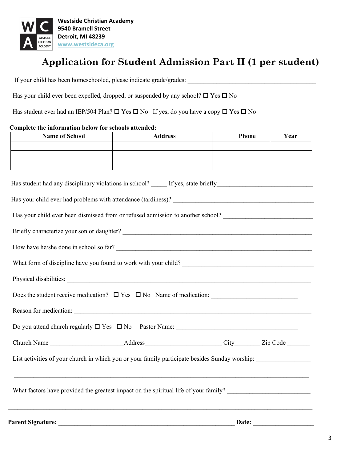

# **Application for Student Admission Part II (1 per student)**

If your child has been homeschooled, please indicate grade/grades: \_\_\_\_\_\_\_\_\_\_\_\_\_\_\_\_\_\_\_\_\_\_\_\_\_\_\_\_\_\_\_\_\_\_\_\_\_\_\_\_

Has your child ever been expelled, dropped, or suspended by any school?  $\Box$  Yes  $\Box$  No

Has student ever had an IEP/504 Plan?  $\Box$  Yes  $\Box$  No If yes, do you have a copy  $\Box$  Yes  $\Box$  No

#### **Complete the information below for schools attended:**

| <b>Name of School</b>                                                                                          | <b>Address</b> | <b>Phone</b> | Year |  |
|----------------------------------------------------------------------------------------------------------------|----------------|--------------|------|--|
|                                                                                                                |                |              |      |  |
|                                                                                                                |                |              |      |  |
|                                                                                                                |                |              |      |  |
|                                                                                                                |                |              |      |  |
|                                                                                                                |                |              |      |  |
| Has your child ever been dismissed from or refused admission to another school? ______________________________ |                |              |      |  |
|                                                                                                                |                |              |      |  |
| How have he/she done in school so far?                                                                         |                |              |      |  |
|                                                                                                                |                |              |      |  |
|                                                                                                                |                |              |      |  |
|                                                                                                                |                |              |      |  |
|                                                                                                                |                |              |      |  |
|                                                                                                                |                |              |      |  |
|                                                                                                                |                |              |      |  |
| List activities of your church in which you or your family participate besides Sunday worship:                 |                |              |      |  |
|                                                                                                                |                |              |      |  |
|                                                                                                                |                |              |      |  |
|                                                                                                                |                |              |      |  |
|                                                                                                                |                |              |      |  |

**Parent Signature: \_\_\_\_\_\_\_\_\_\_\_\_\_\_\_\_\_\_\_\_\_\_\_\_\_\_\_\_\_\_\_\_\_\_\_\_\_\_\_\_\_\_\_\_\_\_\_\_\_\_\_\_\_\_\_ Date: \_\_\_\_\_\_\_\_\_\_\_\_\_\_\_\_\_\_\_**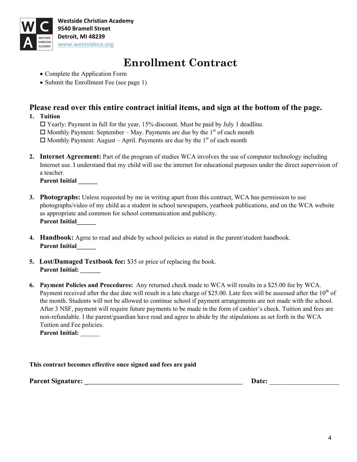

**Westside Christian Academy 9540 Bramell Street Detroit, MI 48239 [www.westsideca.org](http://www.westsideca.org/)**

# **Enrollment Contract**

- Complete the Application Form
- Submit the Enrollment Fee (see page 1)

## **Please read over this entire contract initial items, and sign at the bottom of the page.**

**1. Tuition**

 $\Box$  Yearly: Payment in full for the year, 15% discount. Must be paid by July 1 deadline.  $\Box$  Monthly Payment: September – May. Payments are due by the 1<sup>st</sup> of each month  $\Box$  Monthly Payment: August – April. Payments are due by the 1<sup>st</sup> of each month

**2. Internet Agreement:** Part of the program of studies WCA involves the use of computer technology including Internet use. I understand that my child will use the internet for educational purposes under the direct supervision of a teacher.

**Parent Initial \_\_\_\_\_\_**

- **3. Photographs:** Unless requested by me in writing apart from this contract, WCA has permission to use photographs/video of my child as a student in school newspapers, yearbook publications, and on the WCA website as appropriate and common for school communication and publicity. **Parent Initial\_\_\_\_\_\_**
- **4. Handbook:** Agree to read and abide by school policies as stated in the parent/student handbook. **Parent Initial\_\_\_\_\_\_**
- **5. Lost/Damaged Textbook fee:** \$35 or price of replacing the book. **Parent Initial: \_\_\_\_\_\_\_**
- **6. Payment Policies and Procedures:** Any returned check made to WCA will results in a \$25.00 fee by WCA. Payment received after the due date will result in a late charge of \$25.00. Late fees will be assessed after the  $10<sup>th</sup>$  of the month. Students will not be allowed to continue school if payment arrangements are not made with the school. After 3 NSF, payment will require future payments to be made in the form of cashier's check. Tuition and fees are non-refundable. I the parent/guardian have read and agree to abide by the stipulations as set forth in the WCA Tuition and Fee policies.

**Parent Initial:** \_\_\_\_\_\_

**Parent Signature:**  $\qquad \qquad$  **Date:**  $\qquad \qquad$  **Date:**  $\qquad \qquad$  **Date:**  $\qquad \qquad$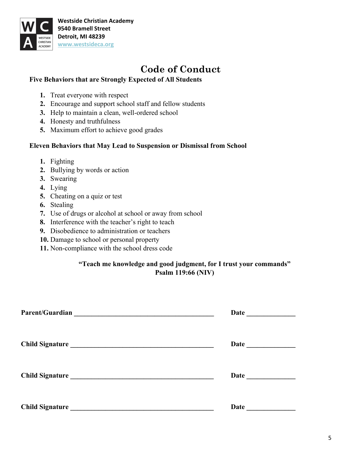

# **Code of Conduct**

## **Five Behaviors that are Strongly Expected of All Students**

- **1.** Treat everyone with respect
- **2.** Encourage and support school staff and fellow students
- **3.** Help to maintain a clean, well-ordered school
- **4.** Honesty and truthfulness
- **5.** Maximum effort to achieve good grades

## **Eleven Behaviors that May Lead to Suspension or Dismissal from School**

- **1.** Fighting
- **2.** Bullying by words or action
- **3.** Swearing
- **4.** Lying
- **5.** Cheating on a quiz or test
- **6.** Stealing
- **7.** Use of drugs or alcohol at school or away from school
- **8.** Interference with the teacher's right to teach
- **9.** Disobedience to administration or teachers
- **10.** Damage to school or personal property
- **11.** Non-compliance with the school dress code

## **"Teach me knowledge and good judgment, for I trust your commands" Psalm 119:66 (NIV)**

| <b>Parent/Guardian</b><br><u> 1989 - Jan Samuel Barbara, margaret eta idazlea (h. 1989).</u> | <b>Date</b>     |
|----------------------------------------------------------------------------------------------|-----------------|
|                                                                                              | Date <u>and</u> |
| Child Signature                                                                              | <b>Date</b>     |
| <b>Child Signature</b>                                                                       | Date            |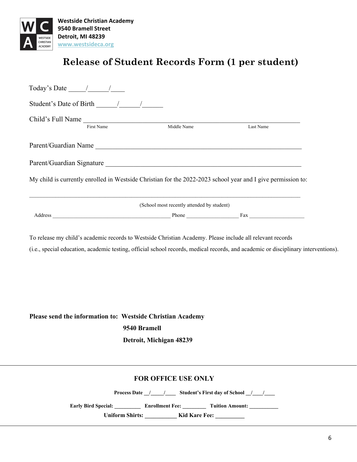

## **Release of Student Records Form (1 per student)**

| Child's Full Name |                                                                                                              |           |
|-------------------|--------------------------------------------------------------------------------------------------------------|-----------|
| First Name        | Middle Name                                                                                                  | Last Name |
|                   | Parent/Guardian Name                                                                                         |           |
|                   |                                                                                                              |           |
|                   |                                                                                                              |           |
|                   | My child is currently enrolled in Westside Christian for the 2022-2023 school year and I give permission to: |           |
|                   | (School most recently attended by student)                                                                   |           |

**Please send the information to: Westside Christian Academy 9540 Bramell Detroit, Michigan 48239**

## **FOR OFFICE USE ONLY**

**Process Date \_\_/\_\_\_\_\_/\_\_\_\_\_\_\_ Student's First day of School \_\_/\_\_\_\_/\_\_\_\_\_** 

Early Bird Special: \_\_\_\_\_\_\_\_\_\_\_\_ Enrollment Fee: \_\_\_\_\_\_\_\_\_\_\_ Tuition Amount: \_\_\_\_\_\_\_\_\_\_

Uniform Shirts: \_\_\_\_\_\_\_\_\_\_\_ Kid Kare Fee: \_\_\_\_\_\_\_\_\_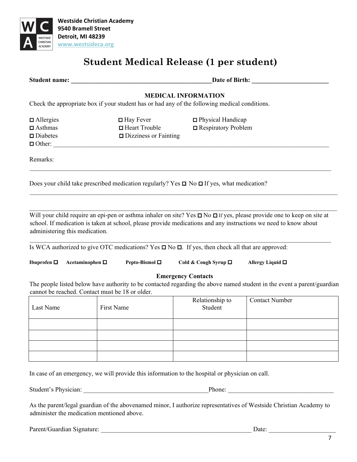

**Westside Christian Academy 9540 Bramell Street Detroit, MI 48239 [www.westsideca.org](http://www.westsideca.org/)**

# **Student Medical Release (1 per student)**

|  | <b>Student name:</b> |  |
|--|----------------------|--|
|  |                      |  |

Date of Birth:

### **MEDICAL INFORMATION**

Check the appropriate box if your student has or had any of the following medical conditions.

| $\Box$ Allergies   | $\Box$ Hay Fever             | □ Physical Handicap        |
|--------------------|------------------------------|----------------------------|
| $\Box$ Asthmas     | $\Box$ Heart Trouble         | $\Box$ Respiratory Problem |
| $\square$ Diabetes | $\Box$ Dizziness or Fainting |                            |
| $\Box$ Other:      |                              |                            |

Remarks:

Does your child take prescribed medication regularly? Yes  $\Box$  No  $\Box$  If yes, what medication?

Will your child require an epi-pen or asthma inhaler on site? Yes  $\Box$  No  $\Box$  If yes, please provide one to keep on site at school. If medication is taken at school, please provide medications and any instructions we need to know about administering this medication.

 $\mathcal{L}_\mathcal{L} = \mathcal{L}_\mathcal{L} = \mathcal{L}_\mathcal{L} = \mathcal{L}_\mathcal{L} = \mathcal{L}_\mathcal{L} = \mathcal{L}_\mathcal{L} = \mathcal{L}_\mathcal{L} = \mathcal{L}_\mathcal{L} = \mathcal{L}_\mathcal{L} = \mathcal{L}_\mathcal{L} = \mathcal{L}_\mathcal{L} = \mathcal{L}_\mathcal{L} = \mathcal{L}_\mathcal{L} = \mathcal{L}_\mathcal{L} = \mathcal{L}_\mathcal{L} = \mathcal{L}_\mathcal{L} = \mathcal{L}_\mathcal{L}$ 

\_\_\_\_\_\_\_\_\_\_\_\_\_\_\_\_\_\_\_\_\_\_\_\_\_\_\_\_\_\_\_\_\_\_\_\_\_\_\_\_\_\_\_\_\_\_\_\_\_\_\_\_\_\_\_\_\_\_\_\_\_\_\_\_\_\_\_\_\_\_\_\_\_\_\_\_\_\_\_\_\_\_\_\_\_\_\_\_\_\_\_\_\_\_

 $\mathcal{L}_\mathcal{L} = \mathcal{L}_\mathcal{L} = \mathcal{L}_\mathcal{L} = \mathcal{L}_\mathcal{L} = \mathcal{L}_\mathcal{L} = \mathcal{L}_\mathcal{L} = \mathcal{L}_\mathcal{L} = \mathcal{L}_\mathcal{L} = \mathcal{L}_\mathcal{L} = \mathcal{L}_\mathcal{L} = \mathcal{L}_\mathcal{L} = \mathcal{L}_\mathcal{L} = \mathcal{L}_\mathcal{L} = \mathcal{L}_\mathcal{L} = \mathcal{L}_\mathcal{L} = \mathcal{L}_\mathcal{L} = \mathcal{L}_\mathcal{L}$ 

\_\_\_\_\_\_\_\_\_\_\_\_\_\_\_\_\_\_\_\_\_\_\_\_\_\_\_\_\_\_\_\_\_\_\_\_\_\_\_\_\_\_\_\_\_\_\_\_\_\_\_\_\_\_\_\_\_\_\_\_\_\_\_\_\_\_\_\_\_\_\_\_\_\_\_\_\_\_\_\_\_\_\_\_\_\_\_\_\_\_\_\_\_\_\_\_

Is WCA authorized to give OTC medications? Yes  $\Box$  No  $\Box$ . If yes, then check all that are approved:

**Ibuprofen Acetaminophen Pepto-Bismol Cold & Cough Syrup Allergy Liquid** 

**Emergency Contacts**

The people listed below have authority to be contacted regarding the above named student in the event a parent/guardian cannot be reached. Contact must be 18 or older.

| Last Name | First Name | Relationship to<br>Student | <b>Contact Number</b> |
|-----------|------------|----------------------------|-----------------------|
|           |            |                            |                       |
|           |            |                            |                       |
|           |            |                            |                       |
|           |            |                            |                       |

In case of an emergency, we will provide this information to the hospital or physician on call.

Student's Physician: \_\_\_\_\_\_\_\_\_\_\_\_\_\_\_\_\_\_\_\_\_\_\_\_\_\_\_\_\_\_\_\_\_\_\_\_\_\_\_Phone: \_\_\_\_\_\_\_\_\_\_\_\_\_\_\_\_\_\_\_\_\_\_\_\_\_\_\_\_\_\_\_\_\_

As the parent/legal guardian of the abovenamed minor, I authorize representatives of Westside Christian Academy to administer the medication mentioned above.

| Parent/Guardian Signature: | Jate |  |
|----------------------------|------|--|
|                            |      |  |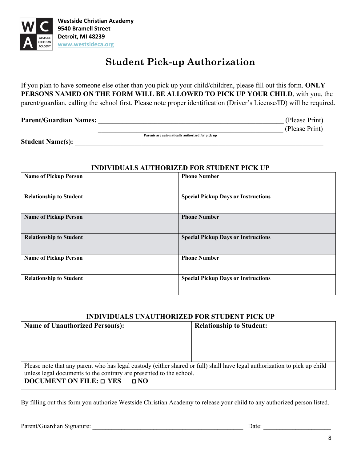

# **Student Pick-up Authorization**

If you plan to have someone else other than you pick up your child/children, please fill out this form. **ONLY PERSONS NAMED ON THE FORM WILL BE ALLOWED TO PICK UP YOUR CHILD**, with you, the parent/guardian, calling the school first. Please note proper identification (Driver's License/ID) will be required.

**Parent/Guardian Names:**  $\qquad \qquad$  (Please Print)

**The contract of the contract of the contract of the contract of the contract of the contract of the contract of the contract of the contract of the contract of the contract of the contract of the contract of the contract** 

Student Name(s):

\_\_\_\_\_\_\_\_\_\_\_\_\_\_\_\_\_\_\_\_\_\_\_\_\_\_\_\_\_\_\_\_\_\_\_\_\_\_\_\_\_\_\_\_\_\_\_\_\_\_\_\_\_\_\_\_\_\_\_\_\_\_\_\_\_\_\_\_\_\_\_\_\_\_\_\_\_\_\_\_\_\_\_\_\_

### **INDIVIDUALS AUTHORIZED FOR STUDENT PICK UP**

| <b>Name of Pickup Person</b>   | <b>Phone Number</b>                        |
|--------------------------------|--------------------------------------------|
| <b>Relationship to Student</b> | <b>Special Pickup Days or Instructions</b> |
| <b>Name of Pickup Person</b>   | <b>Phone Number</b>                        |
| <b>Relationship to Student</b> | <b>Special Pickup Days or Instructions</b> |
| <b>Name of Pickup Person</b>   | <b>Phone Number</b>                        |
| <b>Relationship to Student</b> | <b>Special Pickup Days or Instructions</b> |

## **INDIVIDUALS UNAUTHORIZED FOR STUDENT PICK UP**

| <b>Relationship to Student:</b>                                                                                           |
|---------------------------------------------------------------------------------------------------------------------------|
|                                                                                                                           |
|                                                                                                                           |
|                                                                                                                           |
|                                                                                                                           |
| Please note that any parent who has legal custody (either shared or full) shall have legal authorization to pick up child |
| unless legal documents to the contrary are presented to the school.                                                       |
|                                                                                                                           |
|                                                                                                                           |

By filling out this form you authorize Westside Christian Academy to release your child to any authorized person listed.

Parent/Guardian Signature: \_\_\_\_\_\_\_\_\_\_\_\_\_\_\_\_\_\_\_\_\_\_\_\_\_\_\_\_\_\_\_\_\_\_\_\_\_\_\_\_\_\_\_\_\_\_\_ Date: \_\_\_\_\_\_\_\_\_\_\_\_\_\_\_\_\_\_\_\_\_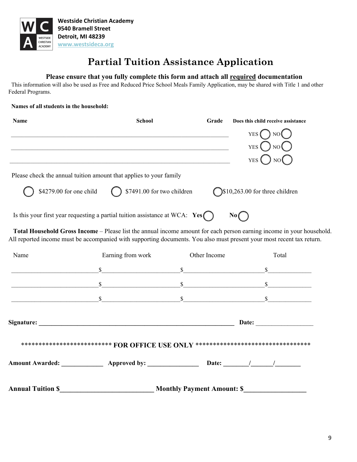

# **Partial Tuition Assistance Application**

#### **Please ensure that you fully complete this form and attach all required documentation**

 This information will also be used as Free and Reduced Price School Meals Family Application, may be shared with Title 1 and other Federal Programs.

#### **Names of all students in the household:**

| <b>Name</b> | <b>School</b>                                                                                                         | Grade        | Does this child receive assistance                                                                                    |
|-------------|-----------------------------------------------------------------------------------------------------------------------|--------------|-----------------------------------------------------------------------------------------------------------------------|
|             |                                                                                                                       |              | ) $NO($<br>YES (                                                                                                      |
|             |                                                                                                                       |              | $YES$ $\bigcup$ NO $\bigcup$                                                                                          |
|             |                                                                                                                       |              | YES <sup>(</sup><br>NO I                                                                                              |
|             | Please check the annual tuition amount that applies to your family                                                    |              |                                                                                                                       |
|             | \$4279.00 for one child $\bigcirc$ \$7491.00 for two children                                                         |              | $\bigcirc$ \$10,263.00 for three children                                                                             |
|             | Is this your first year requesting a partial tuition assistance at WCA: $Yes$                                         |              | No(                                                                                                                   |
|             | All reported income must be accompanied with supporting documents. You also must present your most recent tax return. |              | Total Household Gross Income – Please list the annual income amount for each person earning income in your household. |
| Name        | Earning from work                                                                                                     | Other Income | Total                                                                                                                 |
|             |                                                                                                                       |              |                                                                                                                       |
|             |                                                                                                                       |              |                                                                                                                       |
|             | $\sim$ \$ \$                                                                                                          |              |                                                                                                                       |
|             |                                                                                                                       |              |                                                                                                                       |
|             | **************************** FOR OFFICE USE ONLY ********************************                                     |              |                                                                                                                       |
|             | Amount Awarded: ________________ Approved by: ____________________ Date: _______/ _______/                            |              |                                                                                                                       |
|             | Annual Tuition \$ Monthly Payment Amount: \$                                                                          |              |                                                                                                                       |